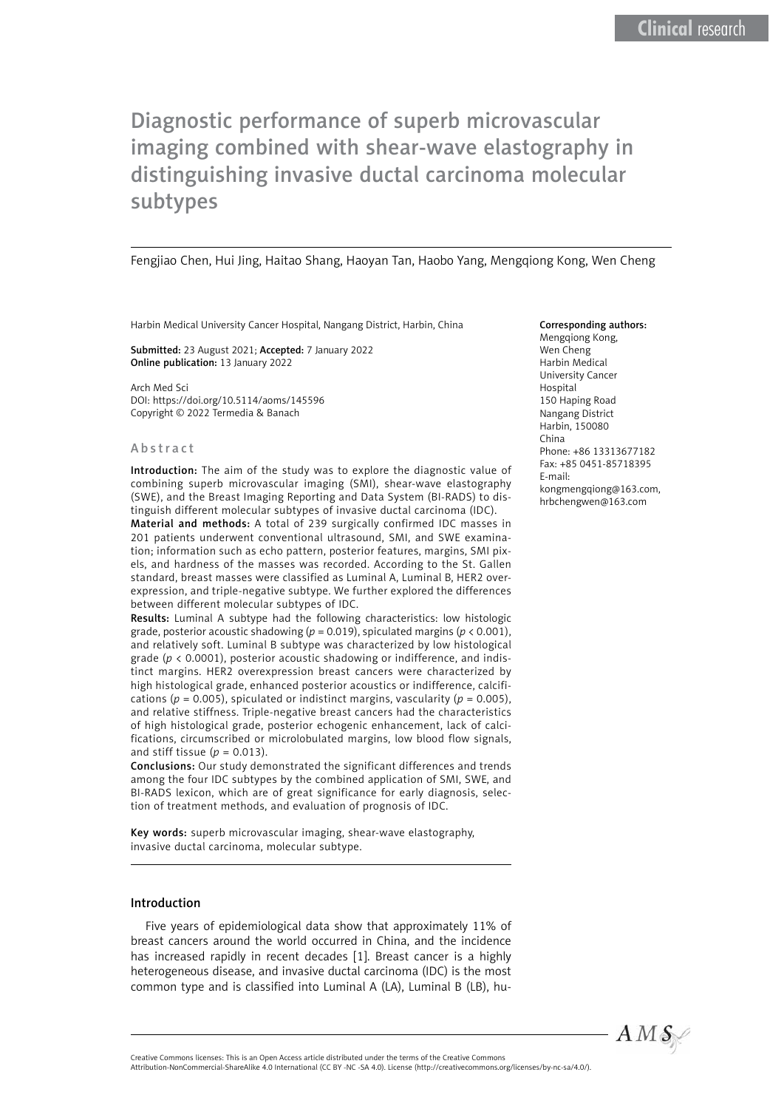Fengjiao Chen, Hui Jing, Haitao Shang, Haoyan Tan, Haobo Yang, Mengqiong Kong, Wen Cheng

Harbin Medical University Cancer Hospital, Nangang District, Harbin, China

Submitted: 23 August 2021; Accepted: 7 January 2022 Online publication: 13 January 2022

Arch Med Sci DOI: https://doi.org/10.5114/aoms/145596 Copyright © 2022 Termedia & Banach

#### Abstract

Introduction: The aim of the study was to explore the diagnostic value of combining superb microvascular imaging (SMI), shear-wave elastography (SWE), and the Breast Imaging Reporting and Data System (BI-RADS) to distinguish different molecular subtypes of invasive ductal carcinoma (IDC).

Material and methods: A total of 239 surgically confirmed IDC masses in 201 patients underwent conventional ultrasound, SMI, and SWE examination; information such as echo pattern, posterior features, margins, SMI pixels, and hardness of the masses was recorded. According to the St. Gallen standard, breast masses were classified as Luminal A, Luminal B, HER2 overexpression, and triple-negative subtype. We further explored the differences between different molecular subtypes of IDC.

Results: Luminal A subtype had the following characteristics: low histologic grade, posterior acoustic shadowing ( $p = 0.019$ ), spiculated margins ( $p < 0.001$ ), and relatively soft. Luminal B subtype was characterized by low histological grade (*p* < 0.0001), posterior acoustic shadowing or indifference, and indistinct margins. HER2 overexpression breast cancers were characterized by high histological grade, enhanced posterior acoustics or indifference, calcifications ( $p = 0.005$ ), spiculated or indistinct margins, vascularity ( $p = 0.005$ ), and relative stiffness. Triple-negative breast cancers had the characteristics of high histological grade, posterior echogenic enhancement, lack of calcifications, circumscribed or microlobulated margins, low blood flow signals, and stiff tissue  $(p = 0.013)$ .

Conclusions: Our study demonstrated the significant differences and trends among the four IDC subtypes by the combined application of SMI, SWE, and BI-RADS lexicon, which are of great significance for early diagnosis, selection of treatment methods, and evaluation of prognosis of IDC.

Key words: superb microvascular imaging, shear-wave elastography, invasive ductal carcinoma, molecular subtype.

#### Introduction

Five years of epidemiological data show that approximately 11% of breast cancers around the world occurred in China, and the incidence has increased rapidly in recent decades [1]. Breast cancer is a highly heterogeneous disease, and invasive ductal carcinoma (IDC) is the most common type and is classified into Luminal A (LA), Luminal B (LB), hu-

#### Corresponding authors: Mengqiong Kong, Wen Cheng Harbin Medical University Cancer Hospital 150 Haping Road Nangang District Harbin, 150080 China Phone: +86 13313677182 Fax: +85 0451-85718395 E-mail:

kongmengqiong@163.com, hrbchengwen@163.com



Attribution-NonCommercial-ShareAlike 4.0 International (CC BY -NC -SA 4.0). License (http://creativecommons.org/licenses/by-nc-sa/4.0/).

Creative Commons licenses: This is an Open Access article distributed under the terms of the Creative Commons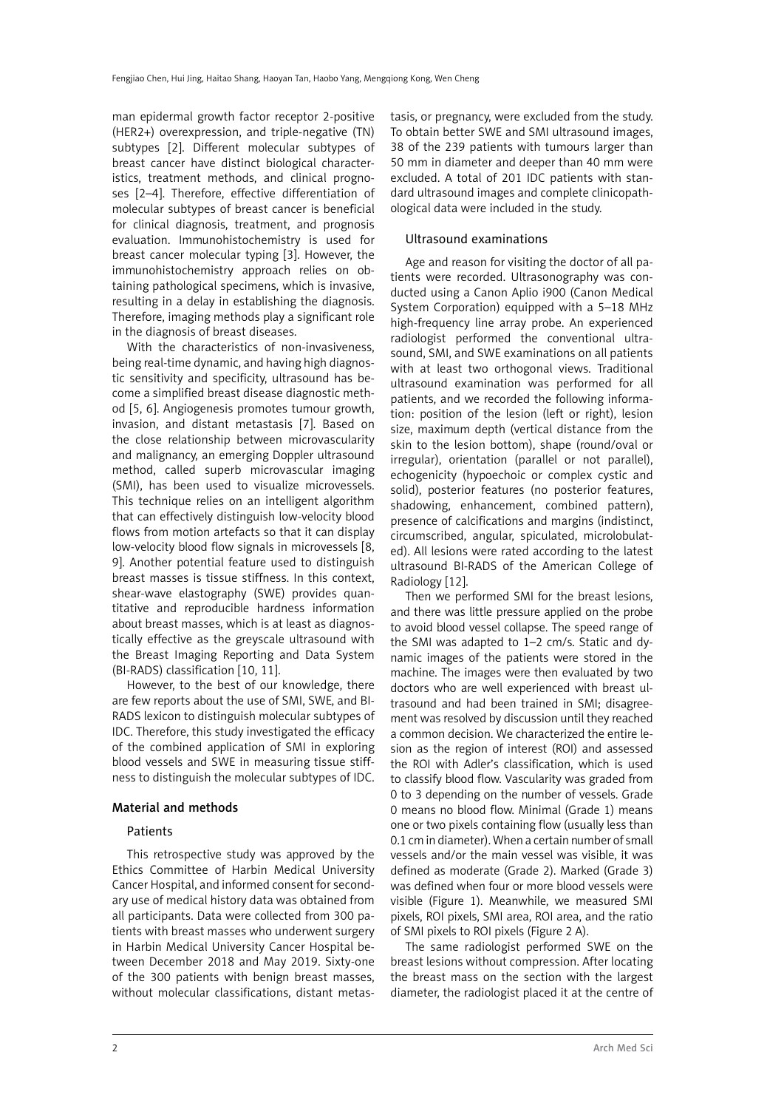man epidermal growth factor receptor 2-positive (HER2+) overexpression, and triple-negative (TN) subtypes [2]. Different molecular subtypes of breast cancer have distinct biological characteristics, treatment methods, and clinical prognoses [2–4]. Therefore, effective differentiation of molecular subtypes of breast cancer is beneficial for clinical diagnosis, treatment, and prognosis evaluation. Immunohistochemistry is used for breast cancer molecular typing [3]. However, the immunohistochemistry approach relies on obtaining pathological specimens, which is invasive, resulting in a delay in establishing the diagnosis. Therefore, imaging methods play a significant role in the diagnosis of breast diseases.

With the characteristics of non-invasiveness, being real-time dynamic, and having high diagnostic sensitivity and specificity, ultrasound has become a simplified breast disease diagnostic method [5, 6]. Angiogenesis promotes tumour growth, invasion, and distant metastasis [7]. Based on the close relationship between microvascularity and malignancy, an emerging Doppler ultrasound method, called superb microvascular imaging (SMI), has been used to visualize microvessels. This technique relies on an intelligent algorithm that can effectively distinguish low-velocity blood flows from motion artefacts so that it can display low-velocity blood flow signals in microvessels [8, 9]. Another potential feature used to distinguish breast masses is tissue stiffness. In this context, shear-wave elastography (SWE) provides quantitative and reproducible hardness information about breast masses, which is at least as diagnostically effective as the greyscale ultrasound with the Breast Imaging Reporting and Data System (BI-RADS) classification [10, 11].

However, to the best of our knowledge, there are few reports about the use of SMI, SWE, and BI-RADS lexicon to distinguish molecular subtypes of IDC. Therefore, this study investigated the efficacy of the combined application of SMI in exploring blood vessels and SWE in measuring tissue stiffness to distinguish the molecular subtypes of IDC.

## Material and methods

## Patients

This retrospective study was approved by the Ethics Committee of Harbin Medical University Cancer Hospital, and informed consent for secondary use of medical history data was obtained from all participants. Data were collected from 300 patients with breast masses who underwent surgery in Harbin Medical University Cancer Hospital between December 2018 and May 2019. Sixty-one of the 300 patients with benign breast masses, without molecular classifications, distant metastasis, or pregnancy, were excluded from the study. To obtain better SWE and SMI ultrasound images, 38 of the 239 patients with tumours larger than 50 mm in diameter and deeper than 40 mm were excluded. A total of 201 IDC patients with standard ultrasound images and complete clinicopathological data were included in the study.

# Ultrasound examinations

Age and reason for visiting the doctor of all patients were recorded. Ultrasonography was conducted using a Canon Aplio i900 (Canon Medical System Corporation) equipped with a 5–18 MHz high-frequency line array probe. An experienced radiologist performed the conventional ultrasound, SMI, and SWE examinations on all patients with at least two orthogonal views. Traditional ultrasound examination was performed for all patients, and we recorded the following information: position of the lesion (left or right), lesion size, maximum depth (vertical distance from the skin to the lesion bottom), shape (round/oval or irregular), orientation (parallel or not parallel), echogenicity (hypoechoic or complex cystic and solid), posterior features (no posterior features, shadowing, enhancement, combined pattern), presence of calcifications and margins (indistinct, circumscribed, angular, spiculated, microlobulated). All lesions were rated according to the latest ultrasound BI-RADS of the American College of Radiology [12].

Then we performed SMI for the breast lesions, and there was little pressure applied on the probe to avoid blood vessel collapse. The speed range of the SMI was adapted to 1–2 cm/s. Static and dynamic images of the patients were stored in the machine. The images were then evaluated by two doctors who are well experienced with breast ultrasound and had been trained in SMI; disagreement was resolved by discussion until they reached a common decision. We characterized the entire lesion as the region of interest (ROI) and assessed the ROI with Adler's classification, which is used to classify blood flow. Vascularity was graded from 0 to 3 depending on the number of vessels. Grade 0 means no blood flow. Minimal (Grade 1) means one or two pixels containing flow (usually less than 0.1 cm in diameter). When a certain number of small vessels and/or the main vessel was visible, it was defined as moderate (Grade 2). Marked (Grade 3) was defined when four or more blood vessels were visible (Figure 1). Meanwhile, we measured SMI pixels, ROI pixels, SMI area, ROI area, and the ratio of SMI pixels to ROI pixels (Figure 2 A).

The same radiologist performed SWE on the breast lesions without compression. After locating the breast mass on the section with the largest diameter, the radiologist placed it at the centre of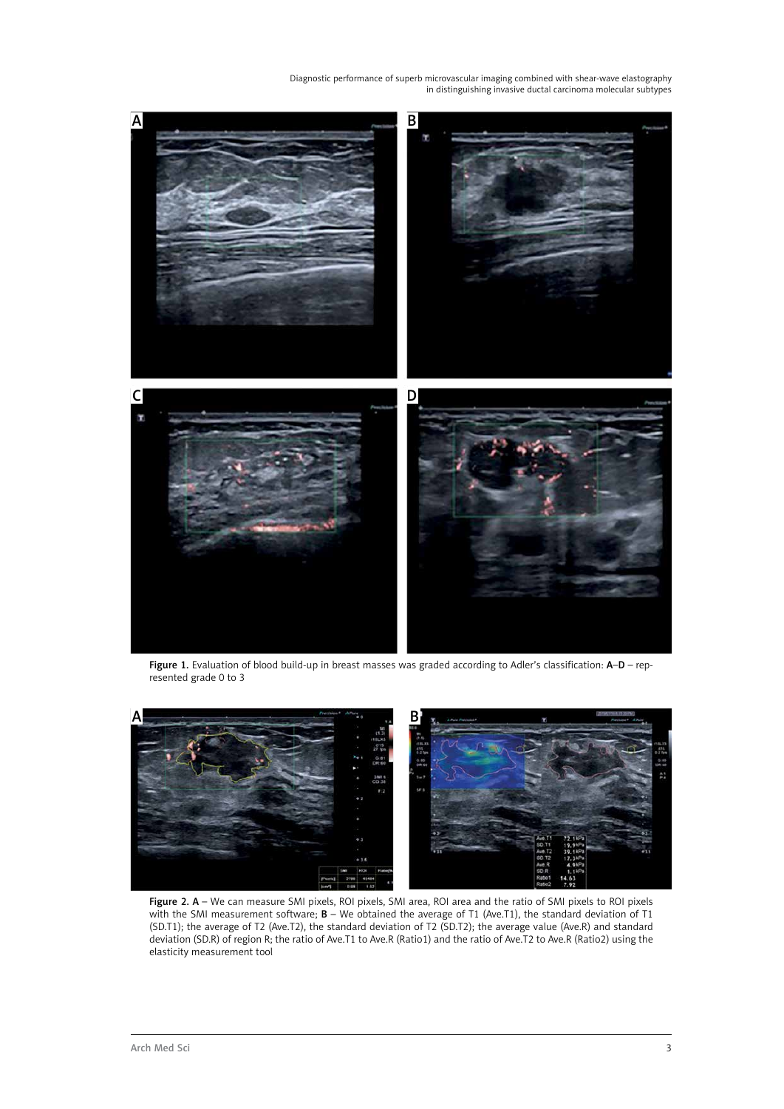

Figure 1. Evaluation of blood build-up in breast masses was graded according to Adler's classification: A-D – represented grade 0 to 3



Figure 2. A – We can measure SMI pixels, ROI pixels, SMI area, ROI area and the ratio of SMI pixels to ROI pixels with the SMI measurement software; **B** – We obtained the average of T1 (Ave.T1), the standard deviation of T1 (SD.T1); the average of T2 (Ave.T2), the standard deviation of T2 (SD.T2); the average value (Ave.R) and standard deviation (SD.R) of region R; the ratio of Ave.T1 to Ave.R (Ratio1) and the ratio of Ave.T2 to Ave.R (Ratio2) using the elasticity measurement tool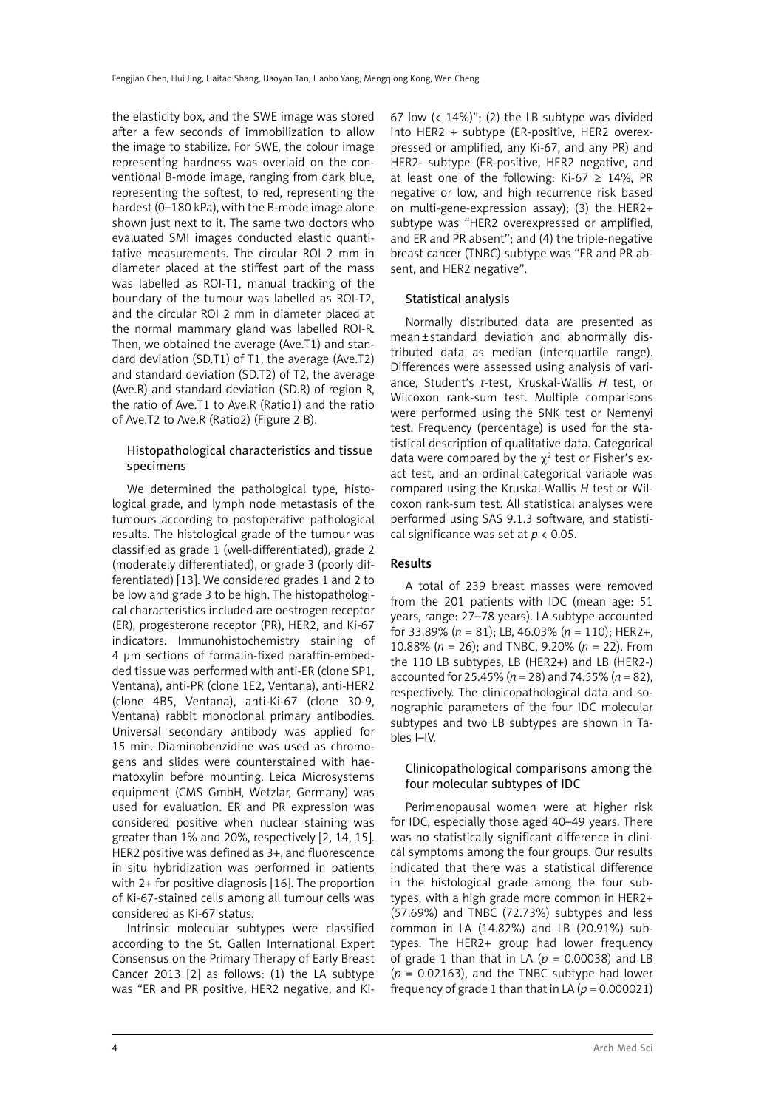the elasticity box, and the SWE image was stored after a few seconds of immobilization to allow the image to stabilize. For SWE, the colour image representing hardness was overlaid on the conventional B-mode image, ranging from dark blue, representing the softest, to red, representing the hardest (0–180 kPa), with the B-mode image alone shown just next to it. The same two doctors who evaluated SMI images conducted elastic quantitative measurements. The circular ROI 2 mm in diameter placed at the stiffest part of the mass was labelled as ROI-T1, manual tracking of the boundary of the tumour was labelled as ROI-T2, and the circular ROI 2 mm in diameter placed at the normal mammary gland was labelled ROI-R. Then, we obtained the average (Ave.T1) and standard deviation (SD.T1) of T1, the average (Ave.T2) and standard deviation (SD.T2) of T2, the average (Ave.R) and standard deviation (SD.R) of region R, the ratio of Ave.T1 to Ave.R (Ratio1) and the ratio of Ave.T2 to Ave.R (Ratio2) (Figure 2 B).

# Histopathological characteristics and tissue specimens

We determined the pathological type, histological grade, and lymph node metastasis of the tumours according to postoperative pathological results. The histological grade of the tumour was classified as grade 1 (well-differentiated), grade 2 (moderately differentiated), or grade 3 (poorly differentiated) [13]. We considered grades 1 and 2 to be low and grade 3 to be high. The histopathological characteristics included are oestrogen receptor (ER), progesterone receptor (PR), HER2, and Ki-67 indicators. Immunohistochemistry staining of 4 μm sections of formalin-fixed paraffin-embedded tissue was performed with anti-ER (clone SP1, Ventana), anti-PR (clone 1E2, Ventana), anti-HER2 (clone 4B5, Ventana), anti-Ki-67 (clone 30-9, Ventana) rabbit monoclonal primary antibodies. Universal secondary antibody was applied for 15 min. Diaminobenzidine was used as chromogens and slides were counterstained with haematoxylin before mounting. Leica Microsystems equipment (CMS GmbH, Wetzlar, Germany) was used for evaluation. ER and PR expression was considered positive when nuclear staining was greater than 1% and 20%, respectively [2, 14, 15]. HER2 positive was defined as 3+, and fluorescence in situ hybridization was performed in patients with 2+ for positive diagnosis [16]. The proportion of Ki-67-stained cells among all tumour cells was considered as Ki-67 status.

Intrinsic molecular subtypes were classified according to the St. Gallen International Expert Consensus on the Primary Therapy of Early Breast Cancer 2013 [2] as follows: (1) the LA subtype was "ER and PR positive, HER2 negative, and Ki67 low  $\left($  < 14%)"; (2) the LB subtype was divided into HER2 + subtype (ER-positive, HER2 overexpressed or amplified, any Ki-67, and any PR) and HER2- subtype (ER-positive, HER2 negative, and at least one of the following: Ki-67  $\geq$  14%, PR negative or low, and high recurrence risk based on multi-gene-expression assay); (3) the HER2+ subtype was "HER2 overexpressed or amplified, and ER and PR absent"; and (4) the triple-negative breast cancer (TNBC) subtype was "ER and PR absent, and HER2 negative".

## Statistical analysis

Normally distributed data are presented as mean±standard deviation and abnormally distributed data as median (interquartile range). Differences were assessed using analysis of variance, Student's *t*-test, Kruskal-Wallis *H* test, or Wilcoxon rank-sum test. Multiple comparisons were performed using the SNK test or Nemenyi test. Frequency (percentage) is used for the statistical description of qualitative data. Categorical data were compared by the  $\chi^2$  test or Fisher's exact test, and an ordinal categorical variable was compared using the Kruskal-Wallis *H* test or Wilcoxon rank-sum test. All statistical analyses were performed using SAS 9.1.3 software, and statistical significance was set at *p* < 0.05.

## Results

A total of 239 breast masses were removed from the 201 patients with IDC (mean age: 51 years, range: 27–78 years). LA subtype accounted for 33.89% (*n* = 81); LB, 46.03% (*n* = 110); HER2+, 10.88% (*n* = 26); and TNBC, 9.20% (*n* = 22). From the 110 LB subtypes, LB (HER2+) and LB (HER2-) accounted for 25.45% (*n* = 28) and 74.55% (*n* = 82), respectively. The clinicopathological data and sonographic parameters of the four IDC molecular subtypes and two LB subtypes are shown in Tables I–IV.

# Clinicopathological comparisons among the four molecular subtypes of IDC

Perimenopausal women were at higher risk for IDC, especially those aged 40–49 years. There was no statistically significant difference in clinical symptoms among the four groups. Our results indicated that there was a statistical difference in the histological grade among the four subtypes, with a high grade more common in HER2+ (57.69%) and TNBC (72.73%) subtypes and less common in LA (14.82%) and LB (20.91%) subtypes. The HER2+ group had lower frequency of grade 1 than that in LA  $(p = 0.00038)$  and LB  $(p = 0.02163)$ , and the TNBC subtype had lower frequency of grade 1 than that in LA  $(p = 0.000021)$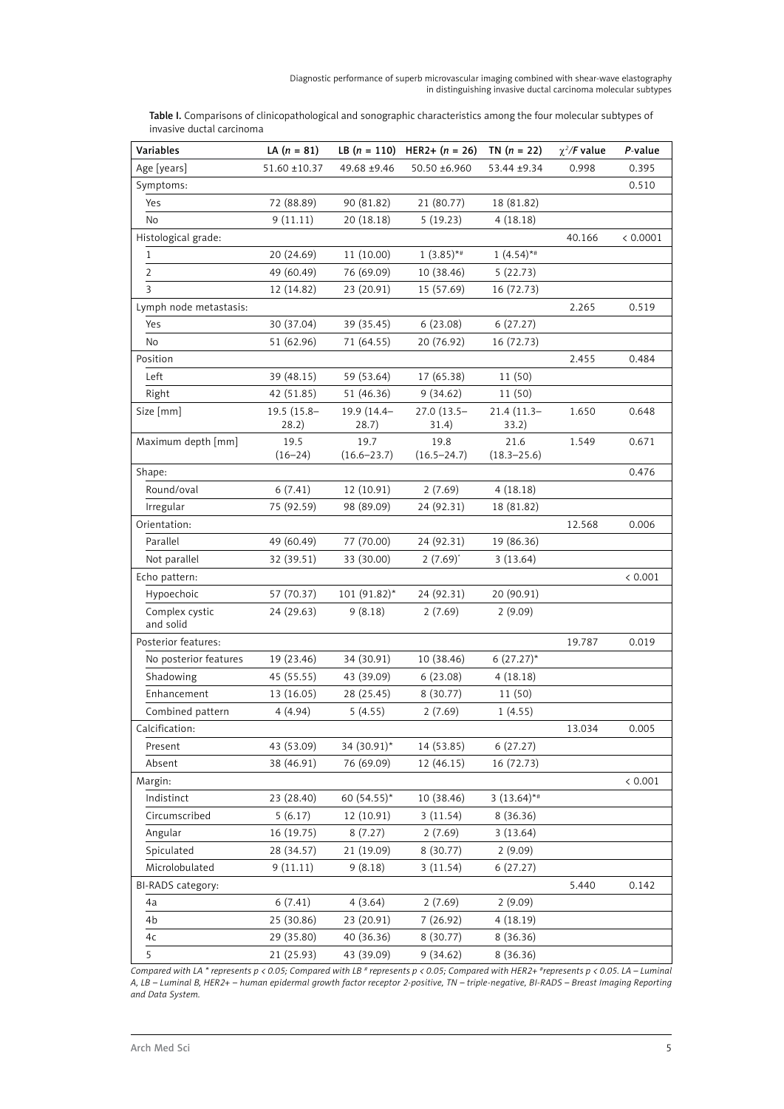| Table I. Comparisons of clinicopathological and sonographic characteristics among the four molecular subtypes of |
|------------------------------------------------------------------------------------------------------------------|
| invasive ductal carcinoma                                                                                        |

| Variables              | LA $(n = 81)$       | LB $(n = 110)$          | $HER2+ (n = 26)$        | TN $(n = 22)$           | $\chi^2$ /F value | P-value  |
|------------------------|---------------------|-------------------------|-------------------------|-------------------------|-------------------|----------|
| Age [years]            | $51.60 \pm 10.37$   | 49.68 ±9.46             | 50.50 ±6.960            | 53.44 ±9.34             | 0.998             | 0.395    |
| Symptoms:              |                     |                         |                         |                         |                   | 0.510    |
| Yes                    | 72 (88.89)          | 90 (81.82)              | 21 (80.77)              | 18 (81.82)              |                   |          |
| No                     | 9(11.11)            | 20 (18.18)              | 5(19.23)                | 4(18.18)                |                   |          |
| Histological grade:    |                     |                         |                         |                         | 40.166            | < 0.0001 |
| $\mathbf{1}$           | 20 (24.69)          | 11 (10.00)              | $1(3.85)$ **            | $1(4.54)$ **            |                   |          |
| 2                      | 49 (60.49)          | 76 (69.09)              | 10 (38.46)              | 5(22.73)                |                   |          |
| 3                      | 12 (14.82)          | 23 (20.91)              | 15 (57.69)              | 16 (72.73)              |                   |          |
| Lymph node metastasis: |                     |                         |                         |                         | 2.265             | 0.519    |
| Yes                    | 30 (37.04)          | 39 (35.45)              | 6(23.08)                | 6(27.27)                |                   |          |
| No                     | 51 (62.96)          | 71 (64.55)              | 20 (76.92)              | 16 (72.73)              |                   |          |
| Position               |                     |                         |                         |                         | 2.455             | 0.484    |
| Left                   | 39 (48.15)          | 59 (53.64)              | 17 (65.38)              | 11 (50)                 |                   |          |
| Right                  | 42 (51.85)          | 51 (46.36)              | 9(34.62)                | 11 (50)                 |                   |          |
| Size [mm]              | 19.5 (15.8-         | 19.9 (14.4-             | 27.0 (13.5-             | $21.4(11.3-$            | 1.650             | 0.648    |
|                        | 28.2)               | 28.7)                   | 31.4)                   | 33.2)                   |                   |          |
| Maximum depth [mm]     | 19.5<br>$(16 - 24)$ | 19.7<br>$(16.6 - 23.7)$ | 19.8<br>$(16.5 - 24.7)$ | 21.6<br>$(18.3 - 25.6)$ | 1.549             | 0.671    |
| Shape:                 |                     |                         |                         |                         |                   | 0.476    |
| Round/oval             | 6(7.41)             | 12 (10.91)              | 2(7.69)                 | 4(18.18)                |                   |          |
| Irregular              | 75 (92.59)          | 98 (89.09)              | 24 (92.31)              | 18 (81.82)              |                   |          |
| Orientation:           |                     |                         |                         |                         | 12.568            | 0.006    |
| Parallel               | 49 (60.49)          | 77 (70.00)              | 24 (92.31)              | 19 (86.36)              |                   |          |
| Not parallel           | 32 (39.51)          | 33 (30.00)              | $2(7.69)^{*}$           | 3(13.64)                |                   |          |
| Echo pattern:          |                     |                         |                         |                         |                   | < 0.001  |
| Hypoechoic             | 57 (70.37)          | $101 (91.82)^*$         | 24 (92.31)              | 20 (90.91)              |                   |          |
| Complex cystic         | 24 (29.63)          | 9(8.18)                 | 2(7.69)                 | 2(9.09)                 |                   |          |
| and solid              |                     |                         |                         |                         |                   |          |
| Posterior features:    |                     |                         |                         |                         | 19.787            | 0.019    |
| No posterior features  | 19 (23.46)          | 34 (30.91)              | 10 (38.46)              | $6(27.27)^*$            |                   |          |
| Shadowing              | 45 (55.55)          | 43 (39.09)              | 6(23.08)                | 4(18.18)                |                   |          |
| Enhancement            | 13 (16.05)          | 28 (25.45)              | 8 (30.77)               | 11 (50)                 |                   |          |
| Combined pattern       | 4(4.94)             | 5(4.55)                 | 2(7.69)                 | 1(4.55)                 |                   |          |
| Calcification:         |                     |                         |                         |                         | 13.034            | 0.005    |
| Present                | 43 (53.09)          | 34 (30.91)*             | 14 (53.85)              | 6(27.27)                |                   |          |
| Absent                 | 38 (46.91)          | 76 (69.09)              | 12 (46.15)              | 16 (72.73)              |                   |          |
| Margin:                |                     |                         |                         |                         |                   | < 0.001  |
| Indistinct             | 23 (28.40)          | 60 (54.55)*             | 10 (38.46)              | $3(13.64)$ **           |                   |          |
| Circumscribed          | 5(6.17)             | 12 (10.91)              | 3(11.54)                | 8 (36.36)               |                   |          |
| Angular                | 16 (19.75)          | 8(7.27)                 | 2(7.69)                 | 3(13.64)                |                   |          |
| Spiculated             | 28 (34.57)          | 21 (19.09)              | 8(30.77)                | 2(9.09)                 |                   |          |
| Microlobulated         | 9(11.11)            | 9(8.18)                 | 3(11.54)                | 6(27.27)                |                   |          |
| BI-RADS category:      |                     |                         |                         |                         | 5.440             | 0.142    |
| 4a                     | 6(7.41)             | 4(3.64)                 | 2(7.69)                 | 2(9.09)                 |                   |          |
| 4b                     | 25 (30.86)          | 23 (20.91)              | 7(26.92)                | 4(18.19)                |                   |          |
| 4c                     | 29 (35.80)          | 40 (36.36)              | 8(30.77)                | 8(36.36)                |                   |          |
| 5                      | 21 (25.93)          | 43 (39.09)              | 9(34.62)                | 8(36.36)                |                   |          |

*Compared with LA \* represents p < 0.05; Compared with LB # represents p < 0.05; Compared with HER2+ #represents p < 0.05. LA – Luminal A, LB – Luminal B, HER2+ – human epidermal growth factor receptor 2-positive, TN – triple-negative, BI-RADS – Breast Imaging Reporting and Data System.*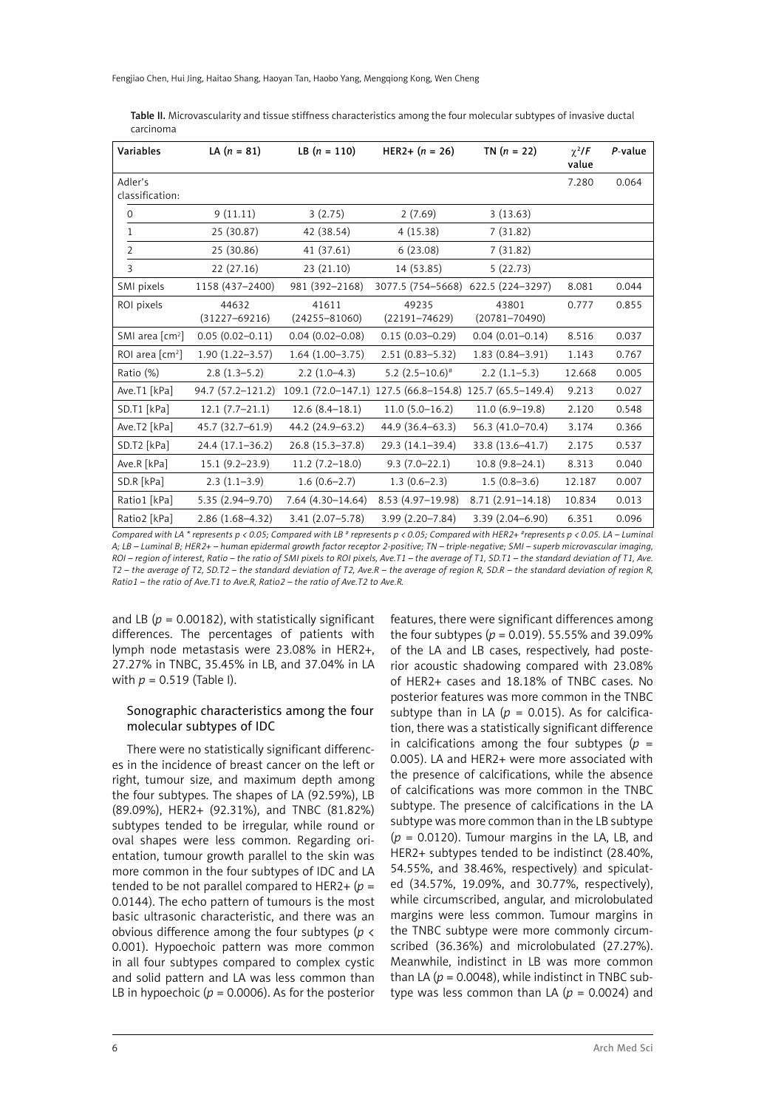Table II. Microvascularity and tissue stiffness characteristics among the four molecular subtypes of invasive ductal carcinoma

| Variables                                  | LA $(n = 81)$              | LB $(n = 110)$             | HER2+ $(n = 26)$           | TN $(n = 22)$                         | $\gamma^2/F$<br>value | $P$ -value |
|--------------------------------------------|----------------------------|----------------------------|----------------------------|---------------------------------------|-----------------------|------------|
| Adler's<br>classification:                 |                            |                            |                            |                                       | 7.280                 | 0.064      |
| 0                                          | 9(11.11)                   | 3(2.75)                    | 2(7.69)                    | 3(13.63)                              |                       |            |
| 1                                          | 25 (30.87)                 | 42 (38.54)                 | 4(15.38)                   | 7(31.82)                              |                       |            |
| $\overline{2}$                             | 25 (30.86)                 | 41 (37.61)                 | 6(23.08)                   | 7(31.82)                              |                       |            |
| 3                                          | 22 (27.16)                 | 23(21.10)                  | 14 (53.85)                 | 5(22.73)                              |                       |            |
| SMI pixels                                 | 1158 (437-2400)            | 981 (392-2168)             | 3077.5 (754-5668)          | 622.5 (224-3297)                      | 8.081                 | 0.044      |
| ROI pixels                                 | 44632<br>$(31227 - 69216)$ | 41611<br>$(24255 - 81060)$ | 49235<br>$(22191 - 74629)$ | 43801<br>$(20781 - 70490)$            | 0.777                 | 0.855      |
| SMI area $\lceil$ cm <sup>2</sup> $\rceil$ | $0.05(0.02 - 0.11)$        | $0.04(0.02 - 0.08)$        | $0.15(0.03 - 0.29)$        | $0.04(0.01 - 0.14)$                   | 8.516                 | 0.037      |
| ROI area $\lceil$ cm <sup>2</sup> $\rceil$ | $1.90(1.22 - 3.57)$        | $1.64(1.00-3.75)$          | $2.51(0.83 - 5.32)$        | $1.83(0.84 - 3.91)$                   | 1.143                 | 0.767      |
| Ratio (%)                                  | $2.8(1.3-5.2)$             | $2.2(1.0-4.3)$             | $5.2(2.5-10.6)^{*}$        | $2.2(1.1-5.3)$                        | 12.668                | 0.005      |
| Ave.T1 [kPa]                               | 94.7 (57.2-121.2)          | $109.1(72.0-147.1)$        |                            | 127.5 (66.8-154.8) 125.7 (65.5-149.4) | 9.213                 | 0.027      |
| SD.T1 [kPa]                                | $12.1 (7.7 - 21.1)$        | $12.6(8.4-18.1)$           | $11.0(5.0-16.2)$           | $11.0(6.9-19.8)$                      | 2.120                 | 0.548      |
| Ave.T2 [kPa]                               | 45.7 (32.7-61.9)           | 44.2 (24.9-63.2)           | 44.9 (36.4-63.3)           | 56.3 (41.0-70.4)                      | 3.174                 | 0.366      |
| SD.T2 [kPa]                                | 24.4 (17.1-36.2)           | 26.8 (15.3-37.8)           | 29.3 (14.1-39.4)           | 33.8 (13.6-41.7)                      | 2.175                 | 0.537      |
| Ave.R [kPa]                                | $15.1(9.2 - 23.9)$         | $11.2(7.2 - 18.0)$         | $9.3(7.0-22.1)$            | $10.8(9.8-24.1)$                      | 8.313                 | 0.040      |
| SD.R [kPa]                                 | $2.3(1.1-3.9)$             | $1.6(0.6-2.7)$             | $1.3(0.6-2.3)$             | $1.5(0.8-3.6)$                        | 12.187                | 0.007      |
| Ratio1 [kPa]                               | 5.35 (2.94-9.70)           | $7.64(4.30-14.64)$         | 8.53 (4.97-19.98)          | $8.71(2.91 - 14.18)$                  | 10.834                | 0.013      |
| Ratio2 [kPa]                               | 2.86 (1.68-4.32)           | $3.41(2.07 - 5.78)$        | 3.99 (2.20-7.84)           | 3.39 (2.04-6.90)                      | 6.351                 | 0.096      |

*Compared with LA \* represents p < 0.05; Compared with LB # represents p < 0.05; Compared with HER2+ #represents p < 0.05. LA – Luminal A; LB – Luminal B; HER2+ – human epidermal growth factor receptor 2-positive; TN – triple-negative; SMI – superb microvascular imaging, ROI – region of interest, Ratio – the ratio of SMI pixels to ROI pixels, Ave.T1 – the average of T1, SD.T1 – the standard deviation of T1, Ave. T2 – the average of T2, SD.T2 – the standard deviation of T2, Ave.R – the average of region R, SD.R – the standard deviation of region R, Ratio1 – the ratio of Ave.T1 to Ave.R, Ratio2 – the ratio of Ave.T2 to Ave.R.*

and LB  $(p = 0.00182)$ , with statistically significant differences. The percentages of patients with lymph node metastasis were 23.08% in HER2+, 27.27% in TNBC, 35.45% in LB, and 37.04% in LA with *p* = 0.519 (Table I).

#### Sonographic characteristics among the four molecular subtypes of IDC

There were no statistically significant differences in the incidence of breast cancer on the left or right, tumour size, and maximum depth among the four subtypes. The shapes of LA (92.59%), LB (89.09%), HER2+ (92.31%), and TNBC (81.82%) subtypes tended to be irregular, while round or oval shapes were less common. Regarding orientation, tumour growth parallel to the skin was more common in the four subtypes of IDC and LA tended to be not parallel compared to HER2+  $(p =$ 0.0144). The echo pattern of tumours is the most basic ultrasonic characteristic, and there was an obvious difference among the four subtypes (*p* < 0.001). Hypoechoic pattern was more common in all four subtypes compared to complex cystic and solid pattern and LA was less common than LB in hypoechoic ( $p = 0.0006$ ). As for the posterior features, there were significant differences among the four subtypes ( $p = 0.019$ ). 55.55% and 39.09% of the LA and LB cases, respectively, had posterior acoustic shadowing compared with 23.08% of HER2+ cases and 18.18% of TNBC cases. No posterior features was more common in the TNBC subtype than in LA ( $p = 0.015$ ). As for calcification, there was a statistically significant difference in calcifications among the four subtypes  $(p =$ 0.005). LA and HER2+ were more associated with the presence of calcifications, while the absence of calcifications was more common in the TNBC subtype. The presence of calcifications in the LA subtype was more common than in the LB subtype (*p* = 0.0120). Tumour margins in the LA, LB, and HER2+ subtypes tended to be indistinct (28.40%, 54.55%, and 38.46%, respectively) and spiculated (34.57%, 19.09%, and 30.77%, respectively), while circumscribed, angular, and microlobulated margins were less common. Tumour margins in the TNBC subtype were more commonly circumscribed (36.36%) and microlobulated (27.27%). Meanwhile, indistinct in LB was more common than LA ( $p = 0.0048$ ), while indistinct in TNBC subtype was less common than LA  $(p = 0.0024)$  and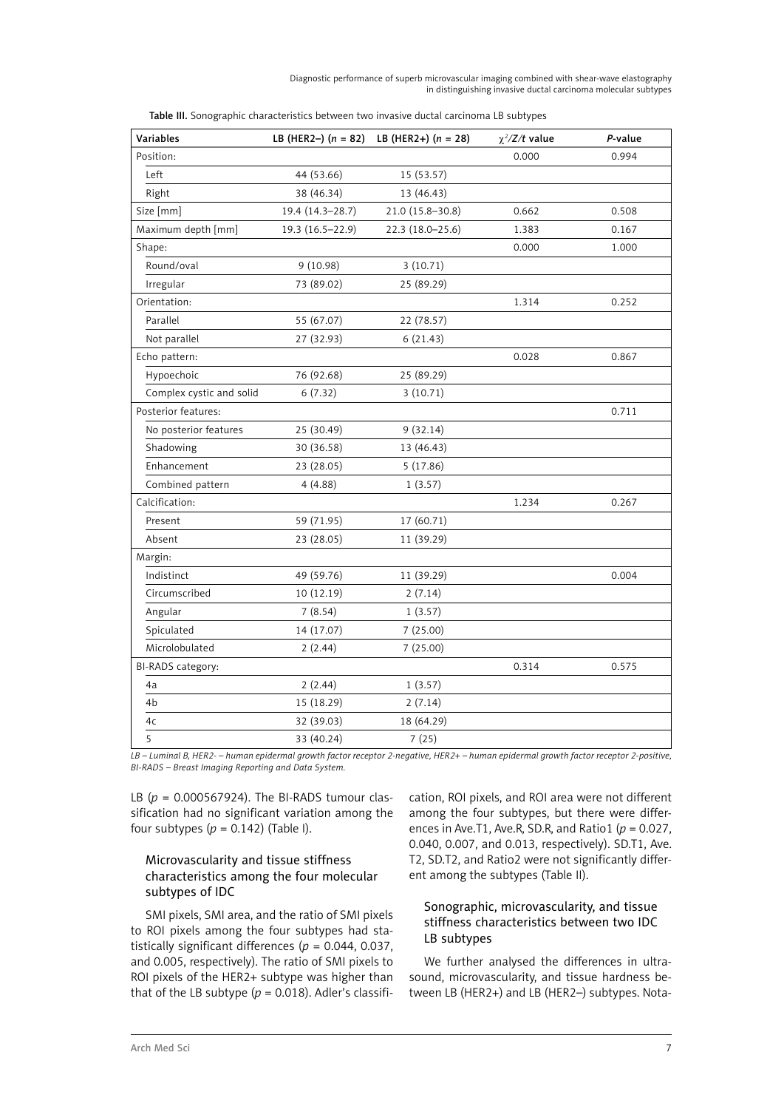| Variables                |                  | LB (HER2-) $(n = 82)$ LB (HER2+) $(n = 28)$ | $\chi^2/Z/t$ value | P-value |
|--------------------------|------------------|---------------------------------------------|--------------------|---------|
| Position:                |                  |                                             | 0.000              | 0.994   |
| Left                     | 44 (53.66)       | 15 (53.57)                                  |                    |         |
| Right                    | 38 (46.34)       | 13 (46.43)                                  |                    |         |
| Size [mm]                | 19.4 (14.3-28.7) | 21.0 (15.8-30.8)                            | 0.662              | 0.508   |
| Maximum depth [mm]       | 19.3 (16.5-22.9) | 22.3 (18.0-25.6)                            | 1.383              | 0.167   |
| Shape:                   |                  |                                             | 0.000              | 1.000   |
| Round/oval               | 9(10.98)         | 3(10.71)                                    |                    |         |
| Irregular                | 73 (89.02)       | 25 (89.29)                                  |                    |         |
| Orientation:             |                  |                                             | 1.314              | 0.252   |
| Parallel                 | 55 (67.07)       | 22 (78.57)                                  |                    |         |
| Not parallel             | 27 (32.93)       | 6(21.43)                                    |                    |         |
| Echo pattern:            |                  |                                             | 0.028              | 0.867   |
| Hypoechoic               | 76 (92.68)       | 25 (89.29)                                  |                    |         |
| Complex cystic and solid | 6(7.32)          | 3(10.71)                                    |                    |         |
| Posterior features:      |                  |                                             |                    | 0.711   |
| No posterior features    | 25 (30.49)       | 9(32.14)                                    |                    |         |
| Shadowing                | 30 (36.58)       | 13 (46.43)                                  |                    |         |
| Enhancement              | 23 (28.05)       | 5(17.86)                                    |                    |         |
| Combined pattern         | 4(4.88)          | 1(3.57)                                     |                    |         |
| Calcification:           |                  |                                             | 1.234              | 0.267   |
| Present                  | 59 (71.95)       | 17 (60.71)                                  |                    |         |
| Absent                   | 23 (28.05)       | 11 (39.29)                                  |                    |         |
| Margin:                  |                  |                                             |                    |         |
| Indistinct               | 49 (59.76)       | 11 (39.29)                                  |                    | 0.004   |
| Circumscribed            | 10 (12.19)       | 2(7.14)                                     |                    |         |
| Angular                  | 7(8.54)          | 1(3.57)                                     |                    |         |
| Spiculated               | 14 (17.07)       | 7(25.00)                                    |                    |         |
| Microlobulated           | 2(2.44)          | 7(25.00)                                    |                    |         |
| BI-RADS category:        |                  |                                             | 0.314              | 0.575   |
| 4a                       | 2(2.44)          | 1(3.57)                                     |                    |         |
| 4b                       | 15 (18.29)       | 2(7.14)                                     |                    |         |
| 4c                       | 32 (39.03)       | 18 (64.29)                                  |                    |         |
| 5                        | 33 (40.24)       | 7(25)                                       |                    |         |

| Table III. Sonographic characteristics between two invasive ductal carcinoma LB subtypes |  |
|------------------------------------------------------------------------------------------|--|
|------------------------------------------------------------------------------------------|--|

*LB – Luminal B, HER2- – human epidermal growth factor receptor 2-negative, HER2+ – human epidermal growth factor receptor 2-positive, BI-RADS – Breast Imaging Reporting and Data System.*

LB (*p* = 0.000567924). The BI-RADS tumour classification had no significant variation among the four subtypes  $(p = 0.142)$  (Table I).

# Microvascularity and tissue stiffness characteristics among the four molecular subtypes of IDC

SMI pixels, SMI area, and the ratio of SMI pixels to ROI pixels among the four subtypes had statistically significant differences ( $p = 0.044$ , 0.037, and 0.005, respectively). The ratio of SMI pixels to ROI pixels of the HER2+ subtype was higher than that of the LB subtype  $(p = 0.018)$ . Adler's classification, ROI pixels, and ROI area were not different among the four subtypes, but there were differences in Ave.T1, Ave.R, SD.R, and Ratio1 (*p* = 0.027, 0.040, 0.007, and 0.013, respectively). SD.T1, Ave. T2, SD.T2, and Ratio2 were not significantly different among the subtypes (Table II).

# Sonographic, microvascularity, and tissue stiffness characteristics between two IDC LB subtypes

We further analysed the differences in ultrasound, microvascularity, and tissue hardness between LB (HER2+) and LB (HER2–) subtypes. Nota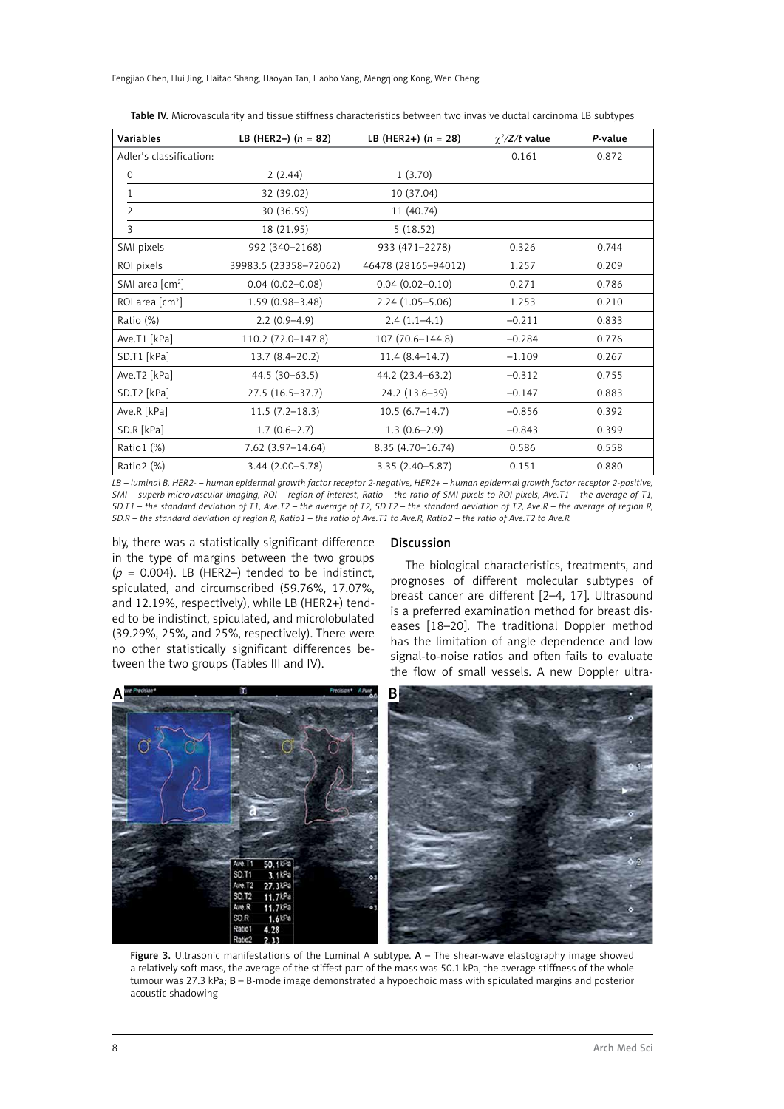Fengjiao Chen, Hui Jing, Haitao Shang, Haoyan Tan, Haobo Yang, Mengqiong Kong, Wen Cheng

| Variables                                  | LB (HER2-) $(n = 82)$ | LB (HER2+) $(n = 28)$ | $\chi^2/Z/t$ value | P-value |
|--------------------------------------------|-----------------------|-----------------------|--------------------|---------|
| Adler's classification:                    |                       |                       | $-0.161$           | 0.872   |
| $\Omega$                                   | 2(2.44)               | 1(3.70)               |                    |         |
| 1                                          | 32 (39.02)            | 10 (37.04)            |                    |         |
| $\overline{2}$                             | 30 (36.59)            | 11 (40.74)            |                    |         |
| 3                                          | 18 (21.95)            | 5(18.52)              |                    |         |
| SMI pixels                                 | 992 (340-2168)        | 933 (471-2278)        | 0.326              | 0.744   |
| ROI pixels                                 | 39983.5 (23358-72062) | 46478 (28165-94012)   | 1.257              | 0.209   |
| SMI area $\lceil$ cm <sup>2</sup> $\rceil$ | $0.04(0.02 - 0.08)$   | $0.04(0.02 - 0.10)$   | 0.271              | 0.786   |
| ROI area $\lceil$ cm <sup>2</sup> $\rceil$ | $1.59(0.98 - 3.48)$   | $2.24(1.05 - 5.06)$   | 1.253              | 0.210   |
| Ratio (%)                                  | $2.2(0.9-4.9)$        | $2.4(1.1-4.1)$        | $-0.211$           | 0.833   |
| Ave.T1 [kPa]                               | 110.2 (72.0-147.8)    | 107 (70.6-144.8)      | $-0.284$           | 0.776   |
| SD.T1 [kPa]                                | $13.7(8.4-20.2)$      | $11.4(8.4-14.7)$      | $-1.109$           | 0.267   |
| Ave.T2 [kPa]                               | 44.5 (30-63.5)        | 44.2 (23.4–63.2)      | $-0.312$           | 0.755   |
| SD.T2 [kPa]                                | $27.5(16.5-37.7)$     | 24.2 (13.6-39)        | $-0.147$           | 0.883   |
| Ave.R [kPa]                                | $11.5(7.2-18.3)$      | $10.5(6.7-14.7)$      | $-0.856$           | 0.392   |
| SD.R [kPa]                                 | $1.7(0.6-2.7)$        | $1.3(0.6-2.9)$        | $-0.843$           | 0.399   |
| Ratio1 $(\%)$                              | $7.62$ (3.97-14.64)   | 8.35 (4.70-16.74)     | 0.586              | 0.558   |
| Ratio2 (%)                                 | 3.44 (2.00-5.78)      | $3.35(2.40 - 5.87)$   | 0.151              | 0.880   |

Table IV. Microvascularity and tissue stiffness characteristics between two invasive ductal carcinoma LB subtypes

*LB – luminal B, HER2- – human epidermal growth factor receptor 2-negative, HER2+ – human epidermal growth factor receptor 2-positive, SMI – superb microvascular imaging, ROI – region of interest, Ratio – the ratio of SMI pixels to ROI pixels, Ave.T1 – the average of T1, SD.T1 – the standard deviation of T1, Ave.T2 – the average of T2, SD.T2 – the standard deviation of T2, Ave.R – the average of region R, SD.R – the standard deviation of region R, Ratio1 – the ratio of Ave.T1 to Ave.R, Ratio2 – the ratio of Ave.T2 to Ave.R.*

bly, there was a statistically significant difference in the type of margins between the two groups  $(p = 0.004)$ . LB (HER2–) tended to be indistinct, spiculated, and circumscribed (59.76%, 17.07%, and 12.19%, respectively), while LB (HER2+) tended to be indistinct, spiculated, and microlobulated (39.29%, 25%, and 25%, respectively). There were no other statistically significant differences between the two groups (Tables III and IV).

#### **Discussion**

The biological characteristics, treatments, and prognoses of different molecular subtypes of breast cancer are different [2–4, 17]. Ultrasound is a preferred examination method for breast diseases [18–20]. The traditional Doppler method has the limitation of angle dependence and low signal-to-noise ratios and often fails to evaluate the flow of small vessels. A new Doppler ultra-



Figure 3. Ultrasonic manifestations of the Luminal A subtype.  $A$  – The shear-wave elastography image showed a relatively soft mass, the average of the stiffest part of the mass was 50.1 kPa, the average stiffness of the whole tumour was 27.3 kPa; B – B-mode image demonstrated a hypoechoic mass with spiculated margins and posterior acoustic shadowing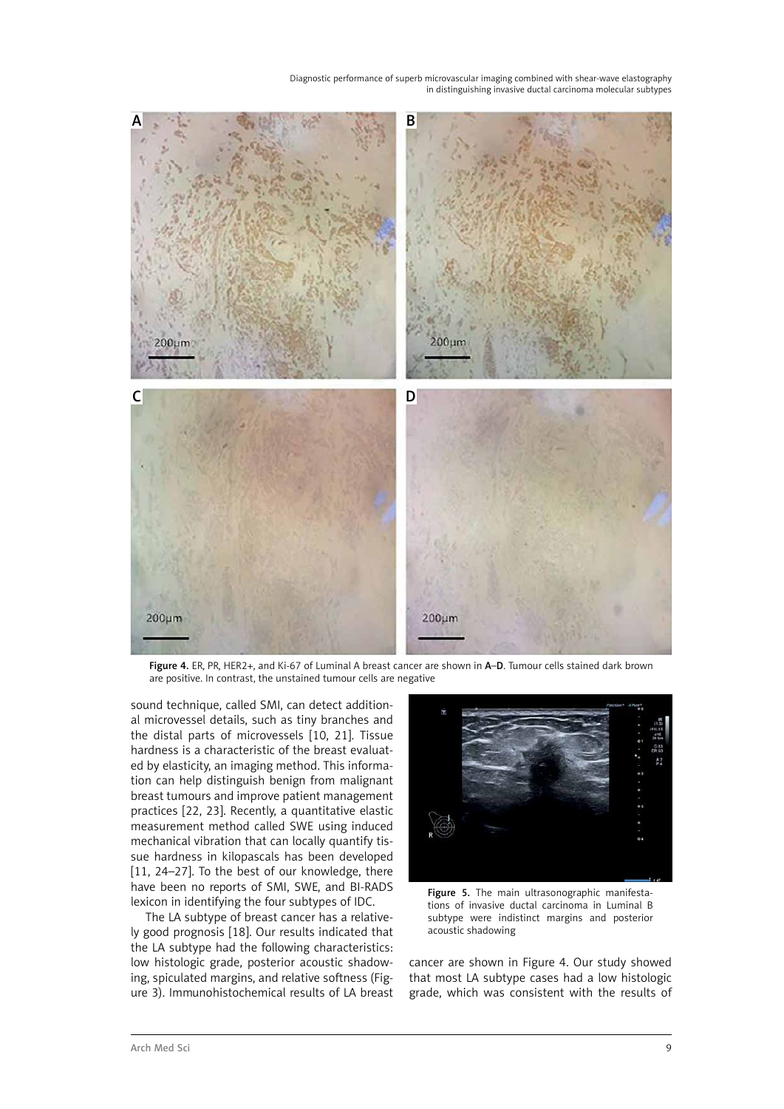

Figure 4. ER, PR, HER2+, and Ki-67 of Luminal A breast cancer are shown in A–D. Tumour cells stained dark brown are positive. In contrast, the unstained tumour cells are negative

sound technique, called SMI, can detect additional microvessel details, such as tiny branches and the distal parts of microvessels [10, 21]. Tissue hardness is a characteristic of the breast evaluated by elasticity, an imaging method. This information can help distinguish benign from malignant breast tumours and improve patient management practices [22, 23]. Recently, a quantitative elastic measurement method called SWE using induced mechanical vibration that can locally quantify tissue hardness in kilopascals has been developed [11, 24–27]. To the best of our knowledge, there have been no reports of SMI, SWE, and BI-RADS lexicon in identifying the four subtypes of IDC.

The LA subtype of breast cancer has a relatively good prognosis [18]. Our results indicated that the LA subtype had the following characteristics: low histologic grade, posterior acoustic shadowing, spiculated margins, and relative softness (Figure 3). Immunohistochemical results of LA breast



Figure 5. The main ultrasonographic manifestations of invasive ductal carcinoma in Luminal B subtype were indistinct margins and posterior acoustic shadowing

cancer are shown in Figure 4. Our study showed that most LA subtype cases had a low histologic grade, which was consistent with the results of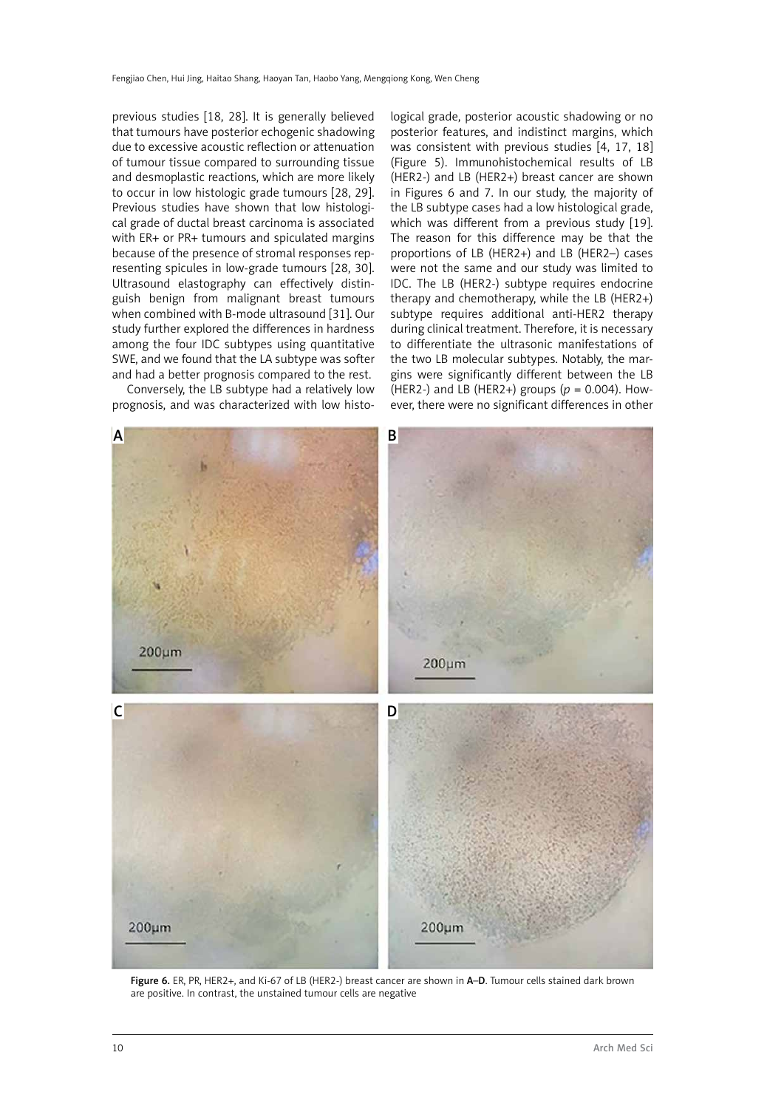previous studies [18, 28]. It is generally believed that tumours have posterior echogenic shadowing due to excessive acoustic reflection or attenuation of tumour tissue compared to surrounding tissue and desmoplastic reactions, which are more likely to occur in low histologic grade tumours [28, 29]. Previous studies have shown that low histological grade of ductal breast carcinoma is associated with ER+ or PR+ tumours and spiculated margins because of the presence of stromal responses representing spicules in low-grade tumours [28, 30]. Ultrasound elastography can effectively distinguish benign from malignant breast tumours when combined with B-mode ultrasound [31]. Our study further explored the differences in hardness among the four IDC subtypes using quantitative SWE, and we found that the LA subtype was softer and had a better prognosis compared to the rest.

Conversely, the LB subtype had a relatively low prognosis, and was characterized with low histological grade, posterior acoustic shadowing or no posterior features, and indistinct margins, which was consistent with previous studies [4, 17, 18] (Figure 5). Immunohistochemical results of LB (HER2−) and LB (HER2+) breast cancer are shown in Figures 6 and 7. In our study, the majority of the LB subtype cases had a low histological grade, which was different from a previous study [19]. The reason for this difference may be that the proportions of LB (HER2+) and LB (HER2–) cases were not the same and our study was limited to IDC. The LB (HER2−) subtype requires endocrine therapy and chemotherapy, while the LB (HER2+) subtype requires additional anti-HER2 therapy during clinical treatment. Therefore, it is necessary to differentiate the ultrasonic manifestations of the two LB molecular subtypes. Notably, the margins were significantly different between the LB (HER2−) and LB (HER2+) groups (*p* = 0.004). However, there were no significant differences in other



Figure 6. ER, PR, HER2+, and Ki-67 of LB (HER2−) breast cancer are shown in A–D. Tumour cells stained dark brown are positive. In contrast, the unstained tumour cells are negative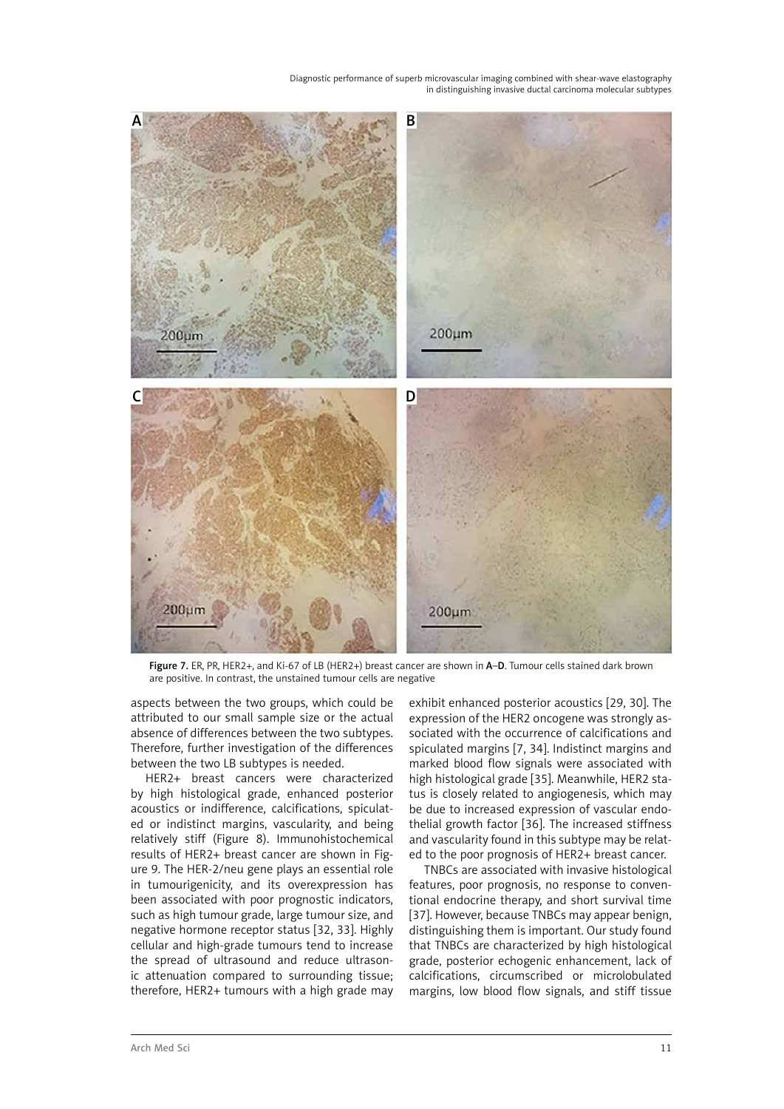

Figure 7. ER, PR, HER2+, and Ki-67 of LB (HER2+) breast cancer are shown in A–D. Tumour cells stained dark brown are positive. In contrast, the unstained tumour cells are negative

aspects between the two groups, which could be attributed to our small sample size or the actual absence of differences between the two subtypes. Therefore, further investigation of the differences between the two LB subtypes is needed.

HER2+ breast cancers were characterized by high histological grade, enhanced posterior acoustics or indifference, calcifications, spiculated or indistinct margins, vascularity, and being relatively stiff (Figure 8). Immunohistochemical results of HER2+ breast cancer are shown in Figure 9. The HER-2/neu gene plays an essential role in tumourigenicity, and its overexpression has been associated with poor prognostic indicators, such as high tumour grade, large tumour size, and negative hormone receptor status [32, 33]. Highly cellular and high-grade tumours tend to increase the spread of ultrasound and reduce ultrasonic attenuation compared to surrounding tissue; therefore, HER2+ tumours with a high grade may

exhibit enhanced posterior acoustics [29, 30]. The expression of the HER2 oncogene was strongly associated with the occurrence of calcifications and spiculated margins [7, 34]. Indistinct margins and marked blood flow signals were associated with high histological grade [35]. Meanwhile, HER2 status is closely related to angiogenesis, which may be due to increased expression of vascular endothelial growth factor [36]. The increased stiffness and vascularity found in this subtype may be related to the poor prognosis of HER2+ breast cancer.

TNBCs are associated with invasive histological features, poor prognosis, no response to conventional endocrine therapy, and short survival time [37]. However, because TNBCs may appear benign, distinguishing them is important. Our study found that TNBCs are characterized by high histological grade, posterior echogenic enhancement, lack of calcifications, circumscribed or microlobulated margins, low blood flow signals, and stiff tissue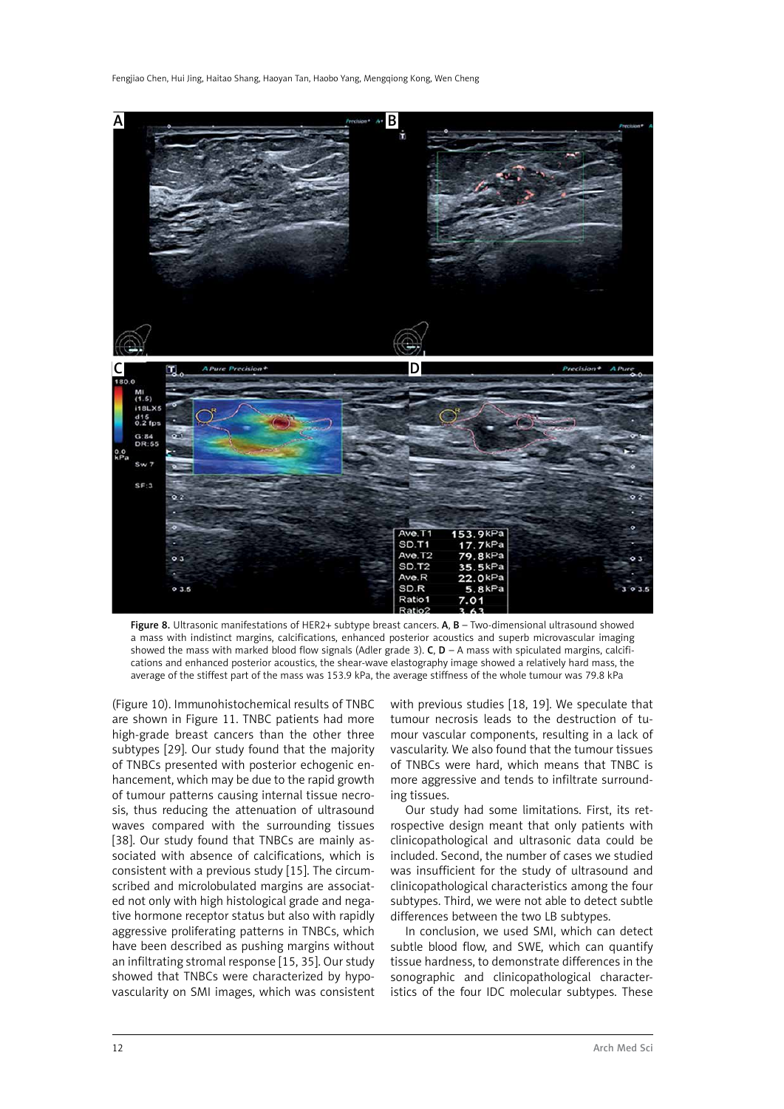Fengjiao Chen, Hui Jing, Haitao Shang, Haoyan Tan, Haobo Yang, Mengqiong Kong, Wen Cheng



Figure 8. Ultrasonic manifestations of HER2+ subtype breast cancers. A, B - Two-dimensional ultrasound showed a mass with indistinct margins, calcifications, enhanced posterior acoustics and superb microvascular imaging showed the mass with marked blood flow signals (Adler grade 3). C,  $D - A$  mass with spiculated margins, calcifications and enhanced posterior acoustics, the shear-wave elastography image showed a relatively hard mass, the average of the stiffest part of the mass was 153.9 kPa, the average stiffness of the whole tumour was 79.8 kPa

(Figure 10). Immunohistochemical results of TNBC are shown in Figure 11. TNBC patients had more high-grade breast cancers than the other three subtypes [29]. Our study found that the majority of TNBCs presented with posterior echogenic enhancement, which may be due to the rapid growth of tumour patterns causing internal tissue necrosis, thus reducing the attenuation of ultrasound waves compared with the surrounding tissues [38]. Our study found that TNBCs are mainly associated with absence of calcifications, which is consistent with a previous study [15]. The circumscribed and microlobulated margins are associated not only with high histological grade and negative hormone receptor status but also with rapidly aggressive proliferating patterns in TNBCs, which have been described as pushing margins without an infiltrating stromal response [15, 35]. Our study showed that TNBCs were characterized by hypovascularity on SMI images, which was consistent

with previous studies [18, 19]. We speculate that tumour necrosis leads to the destruction of tumour vascular components, resulting in a lack of vascularity. We also found that the tumour tissues of TNBCs were hard, which means that TNBC is more aggressive and tends to infiltrate surrounding tissues.

Our study had some limitations. First, its retrospective design meant that only patients with clinicopathological and ultrasonic data could be included. Second, the number of cases we studied was insufficient for the study of ultrasound and clinicopathological characteristics among the four subtypes. Third, we were not able to detect subtle differences between the two LB subtypes.

In conclusion, we used SMI, which can detect subtle blood flow, and SWE, which can quantify tissue hardness, to demonstrate differences in the sonographic and clinicopathological characteristics of the four IDC molecular subtypes. These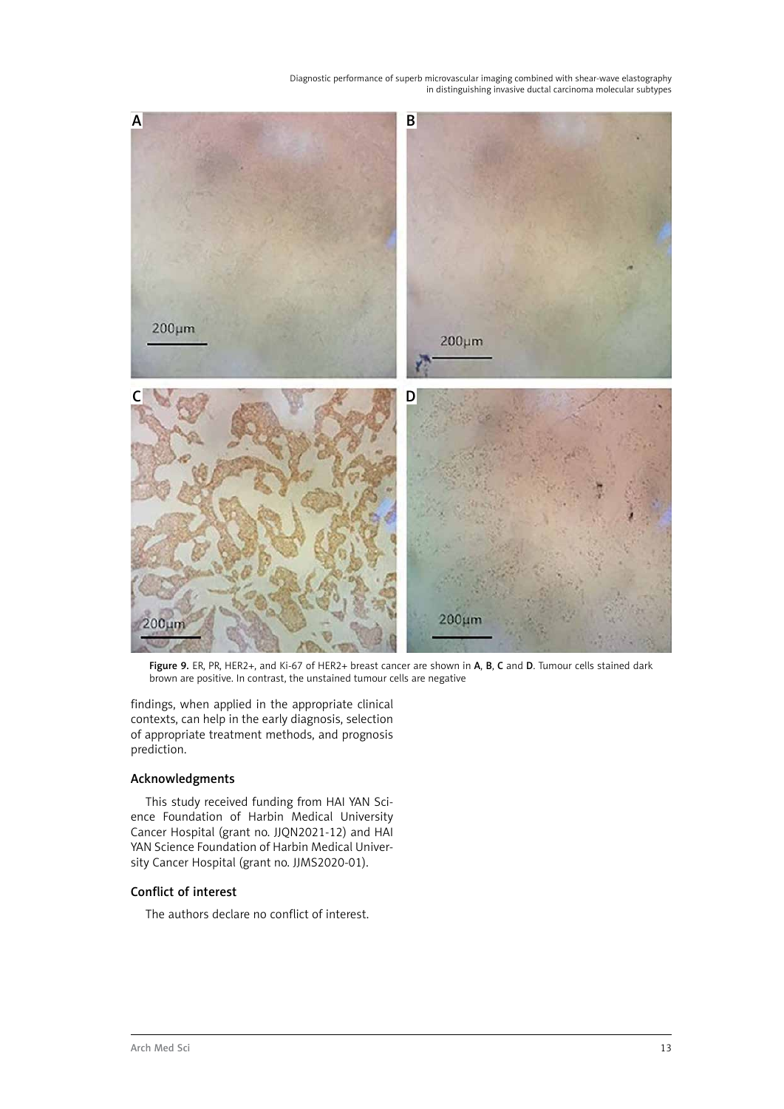

Figure 9. ER, PR, HER2+, and Ki-67 of HER2+ breast cancer are shown in A, B, C and D. Tumour cells stained dark brown are positive. In contrast, the unstained tumour cells are negative

findings, when applied in the appropriate clinical contexts, can help in the early diagnosis, selection of appropriate treatment methods, and prognosis prediction.

# Acknowledgments

This study received funding from HAI YAN Science Foundation of Harbin Medical University Cancer Hospital (grant no. JJQN2021-12) and HAI YAN Science Foundation of Harbin Medical University Cancer Hospital (grant no. JJMS2020-01).

# Conflict of interest

The authors declare no conflict of interest.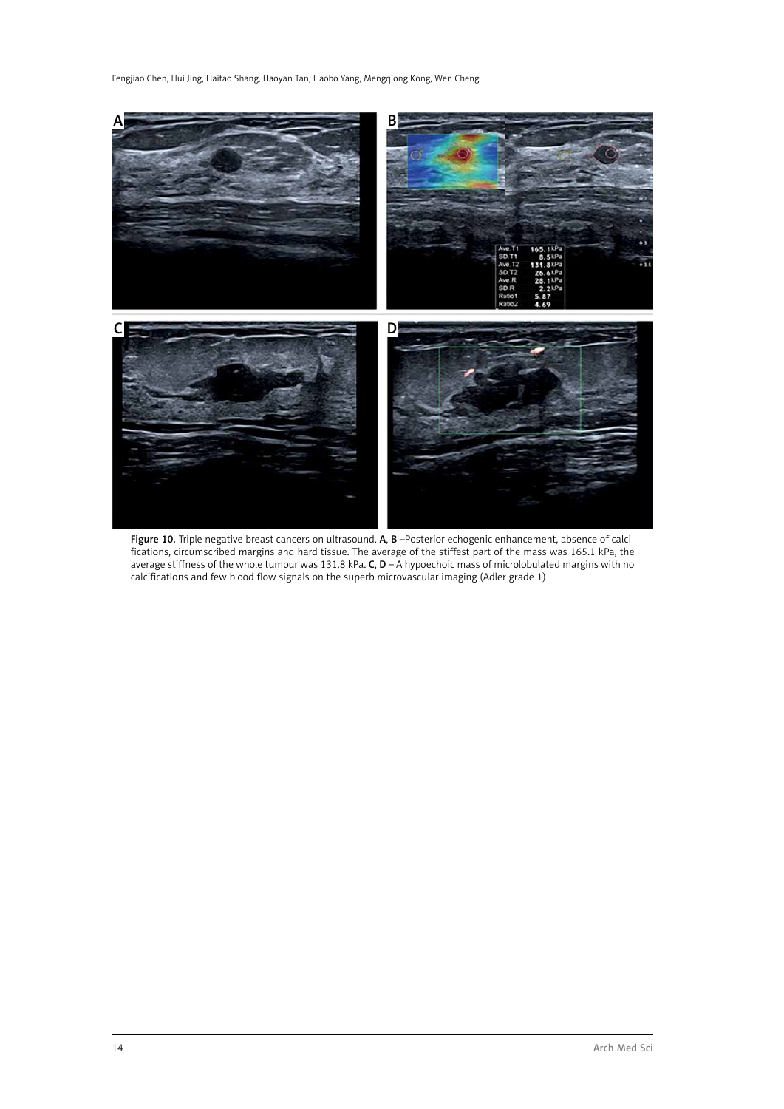Fengjiao Chen, Hui Jing, Haitao Shang, Haoyan Tan, Haobo Yang, Mengqiong Kong, Wen Cheng



Figure 10. Triple negative breast cancers on ultrasound. A, B-Posterior echogenic enhancement, absence of calcifications, circumscribed margins and hard tissue. The average of the stiffest part of the mass was 165.1 kPa, the average stiffness of the whole tumour was 131.8 kPa. **C, D** – A hypoechoic mass of microlobulated margins with no calcifications and few blood flow signals on the superb microvascular imaging (Adler grade 1)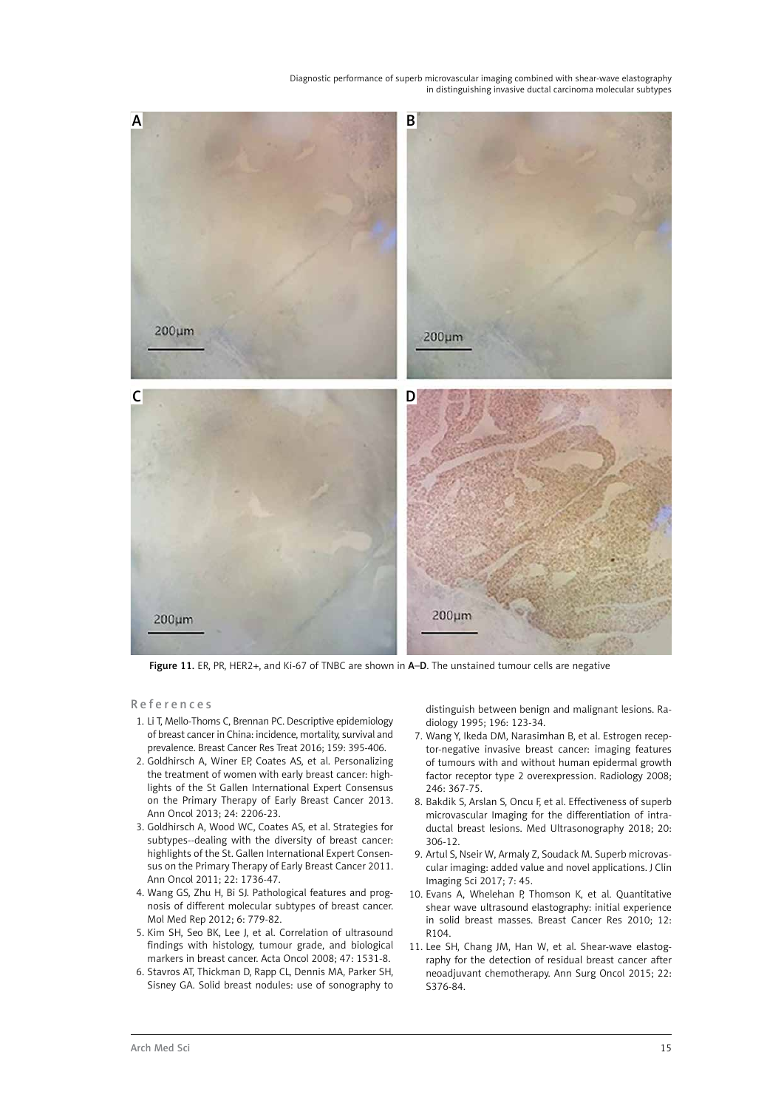

Figure 11. ER, PR, HER2+, and Ki-67 of TNBC are shown in A–D. The unstained tumour cells are negative

References

- 1. Li T, Mello-Thoms C, Brennan PC. Descriptive epidemiology of breast cancer in China: incidence, mortality, survival and prevalence. Breast Cancer Res Treat 2016; 159: 395-406.
- 2. Goldhirsch A, Winer EP, Coates AS, et al. Personalizing the treatment of women with early breast cancer: highlights of the St Gallen International Expert Consensus on the Primary Therapy of Early Breast Cancer 2013. Ann Oncol 2013; 24: 2206-23.
- 3. Goldhirsch A, Wood WC, Coates AS, et al. Strategies for subtypes--dealing with the diversity of breast cancer: highlights of the St. Gallen International Expert Consensus on the Primary Therapy of Early Breast Cancer 2011. Ann Oncol 2011; 22: 1736-47.
- 4. Wang GS, Zhu H, Bi SJ. Pathological features and prognosis of different molecular subtypes of breast cancer. Mol Med Rep 2012; 6: 779-82.
- 5. Kim SH, Seo BK, Lee J, et al. Correlation of ultrasound findings with histology, tumour grade, and biological markers in breast cancer. Acta Oncol 2008; 47: 1531-8.
- 6. Stavros AT, Thickman D, Rapp CL, Dennis MA, Parker SH, Sisney GA. Solid breast nodules: use of sonography to

distinguish between benign and malignant lesions. Radiology 1995; 196: 123-34.

- 7. Wang Y, Ikeda DM, Narasimhan B, et al. Estrogen receptor-negative invasive breast cancer: imaging features of tumours with and without human epidermal growth factor receptor type 2 overexpression. Radiology 2008; 246: 367-75.
- 8. Bakdik S, Arslan S, Oncu F, et al. Effectiveness of superb microvascular Imaging for the differentiation of intraductal breast lesions. Med Ultrasonography 2018; 20: 306-12.
- 9. Artul S, Nseir W, Armaly Z, Soudack M. Superb microvascular imaging: added value and novel applications. J Clin Imaging Sci 2017; 7: 45.
- 10. Evans A, Whelehan P, Thomson K, et al. Quantitative shear wave ultrasound elastography: initial experience in solid breast masses. Breast Cancer Res 2010; 12: R104.
- 11. Lee SH, Chang JM, Han W, et al. Shear-wave elastography for the detection of residual breast cancer after neoadjuvant chemotherapy. Ann Surg Oncol 2015; 22: S376-84.